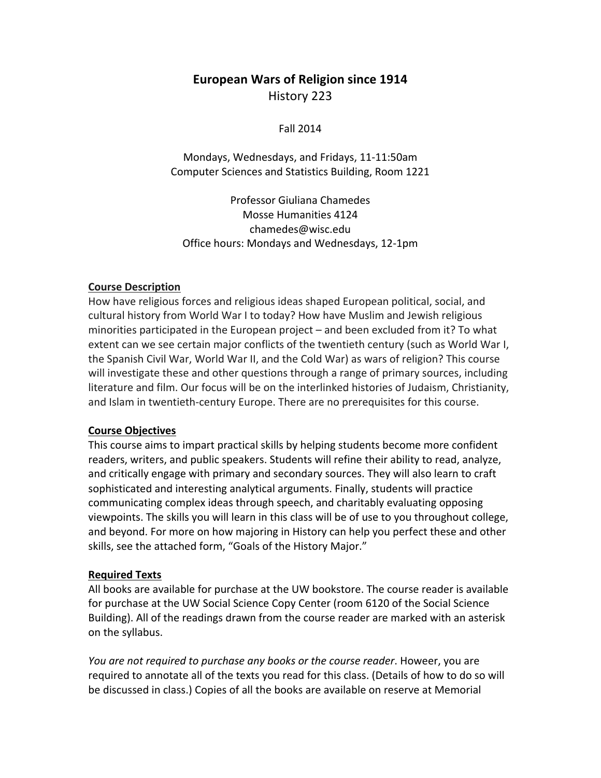# **European Wars of Religion since 1914** History 223

Fall 2014

Mondays, Wednesdays, and Fridays, 11-11:50am Computer Sciences and Statistics Building, Room 1221

Professor Giuliana Chamedes Mosse Humanities 4124 chamedes@wisc.edu Office hours: Mondays and Wednesdays, 12-1pm

#### **Course Description**

How have religious forces and religious ideas shaped European political, social, and cultural history from World War I to today? How have Muslim and Jewish religious minorities participated in the European project  $-$  and been excluded from it? To what extent can we see certain major conflicts of the twentieth century (such as World War I, the Spanish Civil War, World War II, and the Cold War) as wars of religion? This course will investigate these and other questions through a range of primary sources, including literature and film. Our focus will be on the interlinked histories of Judaism, Christianity, and Islam in twentieth-century Europe. There are no prerequisites for this course.

#### **Course Objectives**

This course aims to impart practical skills by helping students become more confident readers, writers, and public speakers. Students will refine their ability to read, analyze, and critically engage with primary and secondary sources. They will also learn to craft sophisticated and interesting analytical arguments. Finally, students will practice communicating complex ideas through speech, and charitably evaluating opposing viewpoints. The skills you will learn in this class will be of use to you throughout college, and beyond. For more on how majoring in History can help you perfect these and other skills, see the attached form, "Goals of the History Major."

#### **Required Texts**

All books are available for purchase at the UW bookstore. The course reader is available for purchase at the UW Social Science Copy Center (room 6120 of the Social Science Building). All of the readings drawn from the course reader are marked with an asterisk on the syllabus.

*You are not required to purchase any books or the course reader*. Howeer, you are required to annotate all of the texts you read for this class. (Details of how to do so will be discussed in class.) Copies of all the books are available on reserve at Memorial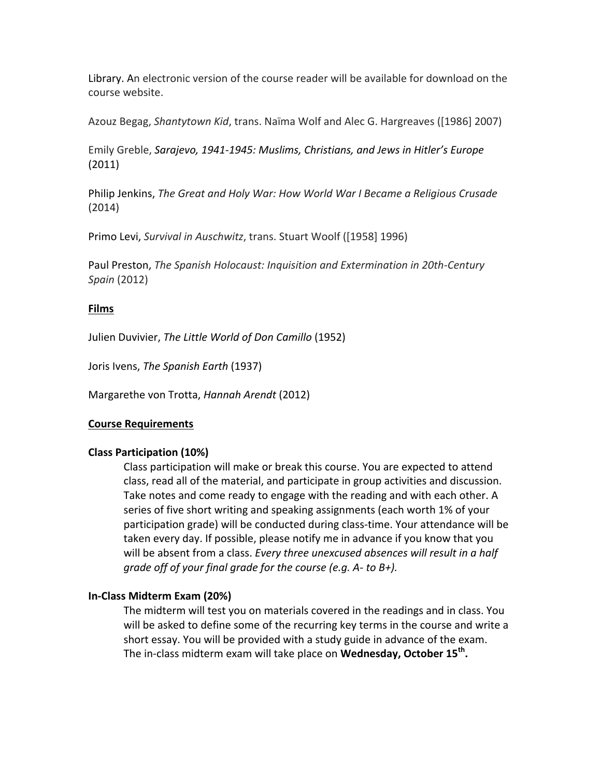Library. An electronic version of the course reader will be available for download on the course website.

Azouz Begag, *Shantytown Kid*, trans. Naïma Wolf and Alec G. Hargreaves ([1986] 2007)

Emily Greble, *Sarajevo, 1941-1945: Muslims, Christians, and Jews in Hitler's Europe* (2011)

Philip Jenkins, The Great and Holy War: How World War I Became a Religious Crusade (2014)

Primo Levi, *Survival in Auschwitz*, trans. Stuart Woolf ([1958] 1996)

Paul Preston, *The Spanish Holocaust: Inquisition and Extermination in 20th-Century Spain* (2012)

# **Films**

Julien Duvivier, *The Little World of Don Camillo* (1952)

Joris Ivens, *The Spanish Earth* (1937)

Margarethe von Trotta, *Hannah Arendt* (2012)

# **Course Requirements**

# **Class Participation (10%)**

Class participation will make or break this course. You are expected to attend class, read all of the material, and participate in group activities and discussion. Take notes and come ready to engage with the reading and with each other. A series of five short writing and speaking assignments (each worth 1% of your participation grade) will be conducted during class-time. Your attendance will be taken every day. If possible, please notify me in advance if you know that you will be absent from a class. *Every three unexcused absences will result in a half grade off of* your final grade for the course (e.g. A- to B+).

### **In-Class Midterm Exam (20%)**

The midterm will test you on materials covered in the readings and in class. You will be asked to define some of the recurring key terms in the course and write a short essay. You will be provided with a study guide in advance of the exam. The in-class midterm exam will take place on **Wednesday, October 15<sup>th</sup>.**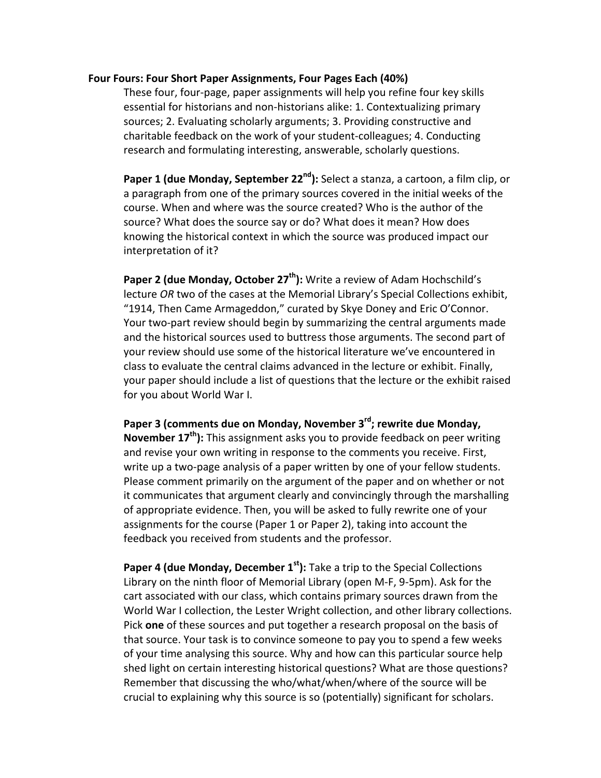#### **Four Fours: Four Short Paper Assignments, Four Pages Each (40%)**

These four, four-page, paper assignments will help you refine four key skills essential for historians and non-historians alike: 1. Contextualizing primary sources; 2. Evaluating scholarly arguments; 3. Providing constructive and charitable feedback on the work of your student-colleagues; 4. Conducting research and formulating interesting, answerable, scholarly questions.

**Paper 1 (due Monday, September 22<sup>nd</sup>):** Select a stanza, a cartoon, a film clip, or a paragraph from one of the primary sources covered in the initial weeks of the course. When and where was the source created? Who is the author of the source? What does the source say or do? What does it mean? How does knowing the historical context in which the source was produced impact our interpretation of it?

Paper 2 (due Monday, October 27<sup>th</sup>): Write a review of Adam Hochschild's lecture OR two of the cases at the Memorial Library's Special Collections exhibit, "1914, Then Came Armageddon," curated by Skye Doney and Eric O'Connor. Your two-part review should begin by summarizing the central arguments made and the historical sources used to buttress those arguments. The second part of your review should use some of the historical literature we've encountered in class to evaluate the central claims advanced in the lecture or exhibit. Finally, your paper should include a list of questions that the lecture or the exhibit raised for you about World War I.

Paper 3 (comments due on Monday, November 3<sup>rd</sup>; rewrite due Monday, **November 17<sup>th</sup>):** This assignment asks you to provide feedback on peer writing and revise your own writing in response to the comments you receive. First, write up a two-page analysis of a paper written by one of your fellow students. Please comment primarily on the argument of the paper and on whether or not it communicates that argument clearly and convincingly through the marshalling of appropriate evidence. Then, you will be asked to fully rewrite one of your assignments for the course (Paper 1 or Paper 2), taking into account the feedback you received from students and the professor.

**Paper 4 (due Monday, December 1<sup>st</sup>):** Take a trip to the Special Collections Library on the ninth floor of Memorial Library (open M-F, 9-5pm). Ask for the cart associated with our class, which contains primary sources drawn from the World War I collection, the Lester Wright collection, and other library collections. Pick **one** of these sources and put together a research proposal on the basis of that source. Your task is to convince someone to pay you to spend a few weeks of your time analysing this source. Why and how can this particular source help shed light on certain interesting historical questions? What are those questions? Remember that discussing the who/what/when/where of the source will be crucial to explaining why this source is so (potentially) significant for scholars.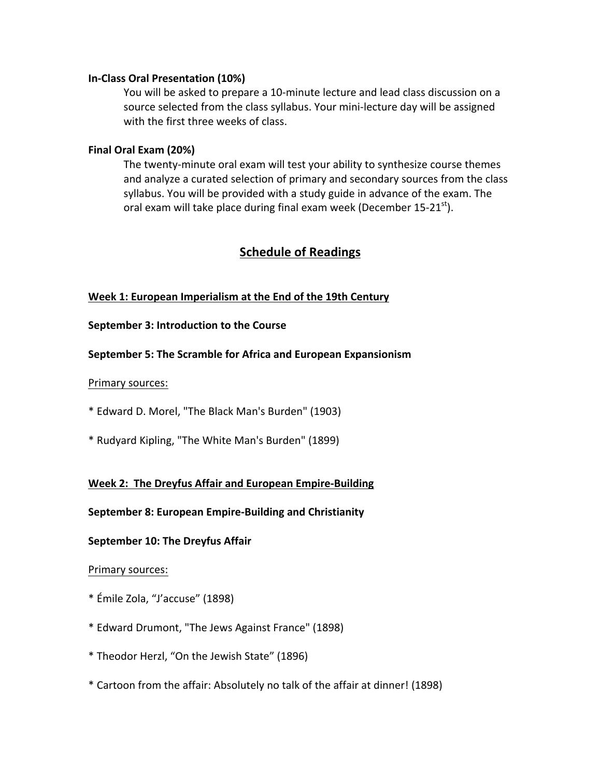#### **In-Class Oral Presentation (10%)**

You will be asked to prepare a 10-minute lecture and lead class discussion on a source selected from the class syllabus. Your mini-lecture day will be assigned with the first three weeks of class.

#### **Final Oral Exam (20%)**

The twenty-minute oral exam will test your ability to synthesize course themes and analyze a curated selection of primary and secondary sources from the class syllabus. You will be provided with a study guide in advance of the exam. The oral exam will take place during final exam week (December 15-21 $^{\text{st}}$ ).

# **Schedule of Readings**

### **Week 1: European Imperialism at the End of the 19th Century**

#### **September 3: Introduction to the Course**

### **September 5: The Scramble for Africa and European Expansionism**

#### Primary sources:

\* Edward D. Morel, "The Black Man's Burden" (1903)

\* Rudyard Kipling, "The White Man's Burden" (1899)

### **Week 2: The Dreyfus Affair and European Empire-Building**

### **September 8: European Empire-Building and Christianity**

### **September 10: The Dreyfus Affair**

### Primary sources:

- \* Émile Zola, "J'accuse" (1898)
- \* Edward Drumont, "The Jews Against France" (1898)
- \* Theodor Herzl, "On the Jewish State" (1896)
- \* Cartoon from the affair: Absolutely no talk of the affair at dinner! (1898)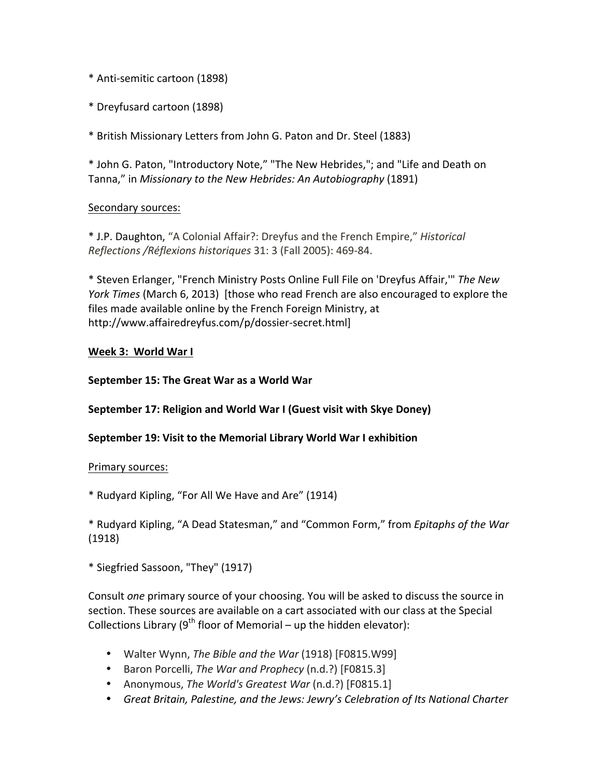- \* Anti-semitic cartoon (1898)
- \* Dreyfusard cartoon (1898)

\* British Missionary Letters from John G. Paton and Dr. Steel (1883) 

\* John G. Paton, "Introductory Note," "The New Hebrides,"; and "Life and Death on Tanna," in *Missionary to the New Hebrides: An Autobiography* (1891)

# Secondary sources:

\* J.P. Daughton, "A Colonial Affair?: Dreyfus and the French Empire," *Historical Reflections /Réflexions historiques* 31: 3 (Fall 2005): 469-84. 

\* Steven Erlanger, "French Ministry Posts Online Full File on 'Dreyfus Affair," The New *York Times* (March 6, 2013) [those who read French are also encouraged to explore the files made available online by the French Foreign Ministry, at http://www.affairedreyfus.com/p/dossier-secret.html]

### Week 3: World War I

### **September 15: The Great War as a World War**

# **September 17: Religion and World War I (Guest visit with Skye Doney)**

# **September 19: Visit to the Memorial Library World War I exhibition**

### Primary sources:

\* Rudyard Kipling, "For All We Have and Are" (1914)

\* Rudyard Kipling, "A Dead Statesman," and "Common Form," from *Epitaphs of the War*  (1918)

\* Siegfried Sassoon, "They" (1917)

Consult *one* primary source of your choosing. You will be asked to discuss the source in section. These sources are available on a cart associated with our class at the Special Collections Library  $(9^{th}$  floor of Memorial – up the hidden elevator):

- Walter Wynn, *The Bible and the War* (1918) [F0815.W99]
- Baron Porcelli, *The War and Prophecy* (n.d.?) [F0815.3]
- Anonymous, *The World's Greatest War* (n.d.?) [F0815.1]
- Great Britain, Palestine, and the Jews: Jewry's Celebration of Its National Charter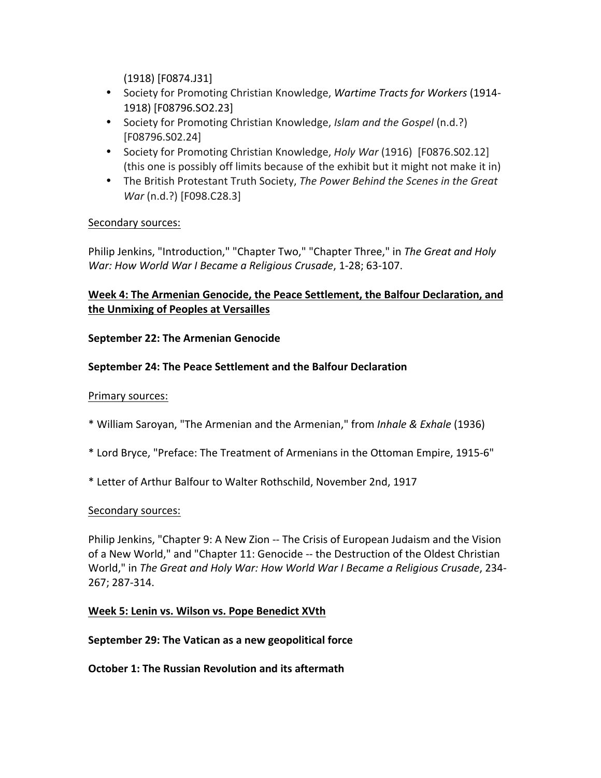(1918) [F0874.J31] 

- Society for Promoting Christian Knowledge, *Wartime Tracts for Workers* (1914-1918) [F08796.SO2.23]
- Society for Promoting Christian Knowledge, *Islam and the Gospel* (n.d.?) [F08796.S02.24]
- Society for Promoting Christian Knowledge, *Holy War* (1916) [F0876.S02.12] (this one is possibly off limits because of the exhibit but it might not make it in)
- The British Protestant Truth Society, *The Power Behind the Scenes in the Great War* (n.d.?) [F098.C28.3]

# Secondary sources:

Philip Jenkins, "Introduction," "Chapter Two," "Chapter Three," in The Great and Holy *War: How World War I Became a Religious Crusade, 1-28; 63-107.* 

# Week 4: The Armenian Genocide, the Peace Settlement, the Balfour Declaration, and **the Unmixing of Peoples at Versailles**

### **September 22: The Armenian Genocide**

### **September 24: The Peace Settlement and the Balfour Declaration**

### Primary sources:

- \* William Saroyan, "The Armenian and the Armenian," from *Inhale & Exhale* (1936)
- \* Lord Bryce, "Preface: The Treatment of Armenians in the Ottoman Empire, 1915-6"
- \* Letter of Arthur Balfour to Walter Rothschild, November 2nd, 1917

### Secondary sources:

Philip Jenkins, "Chapter 9: A New Zion -- The Crisis of European Judaism and the Vision of a New World," and "Chapter 11: Genocide -- the Destruction of the Oldest Christian World," in *The Great and Holy War: How World War I Became a Religious Crusade*, 234-267; 287-314.

### **Week 5: Lenin vs. Wilson vs. Pope Benedict XVth**

**September 29: The Vatican as a new geopolitical force** 

**October 1: The Russian Revolution and its aftermath**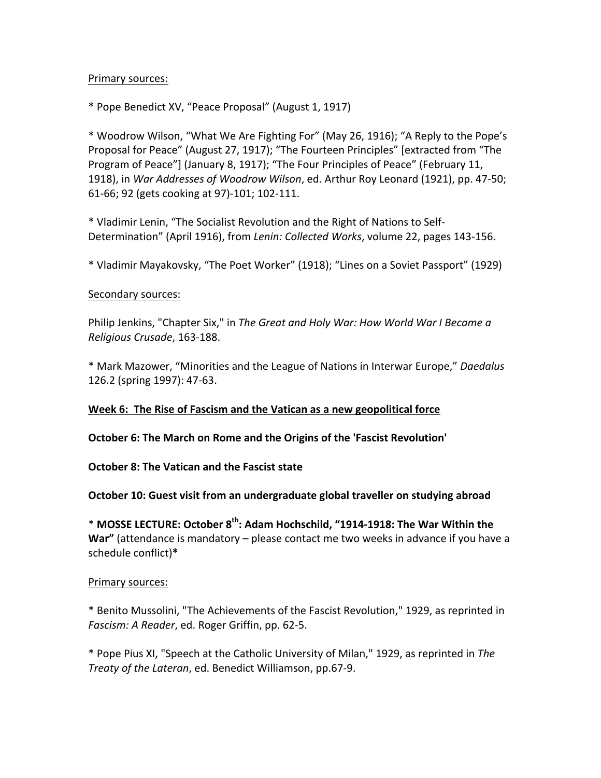#### Primary sources:

\* Pope Benedict XV, "Peace Proposal" (August 1, 1917)

\* Woodrow Wilson, "What We Are Fighting For" (May 26, 1916); "A Reply to the Pope's Proposal for Peace" (August 27, 1917); "The Fourteen Principles" [extracted from "The Program of Peace"] (January 8, 1917); "The Four Principles of Peace" (February 11, 1918), in *War Addresses of Woodrow Wilson*, ed. Arthur Roy Leonard (1921), pp. 47-50; 61-66; 92 (gets cooking at 97)-101; 102-111.

\* Vladimir Lenin, "The Socialist Revolution and the Right of Nations to Self-Determination" (April 1916), from Lenin: Collected Works, volume 22, pages 143-156.

\* Vladimir Mayakovsky, "The Poet Worker" (1918); "Lines on a Soviet Passport" (1929)

#### Secondary sources:

Philip Jenkins, "Chapter Six," in The Great and Holy War: How World War I Became a *Religious Crusade*, 163-188.

\* Mark Mazower, "Minorities and the League of Nations in Interwar Europe," *Daedalus* 126.2 (spring 1997): 47-63.

### Week 6: The Rise of Fascism and the Vatican as a new geopolitical force

**October 6: The March on Rome and the Origins of the 'Fascist Revolution'** 

**October 8: The Vatican and the Fascist state** 

### **October 10: Guest visit from an undergraduate global traveller on studying abroad**

\* MOSSE LECTURE: October 8<sup>th</sup>: Adam Hochschild, "1914-1918: The War Within the **War"** (attendance is mandatory – please contact me two weeks in advance if you have a schedule conflict)**\***

#### Primary sources:

\* Benito Mussolini, "The Achievements of the Fascist Revolution," 1929, as reprinted in Fascism: A Reader, ed. Roger Griffin, pp. 62-5.

\* Pope Pius XI, "Speech at the Catholic University of Milan," 1929, as reprinted in *The Treaty of the Lateran, ed. Benedict Williamson, pp.67-9.*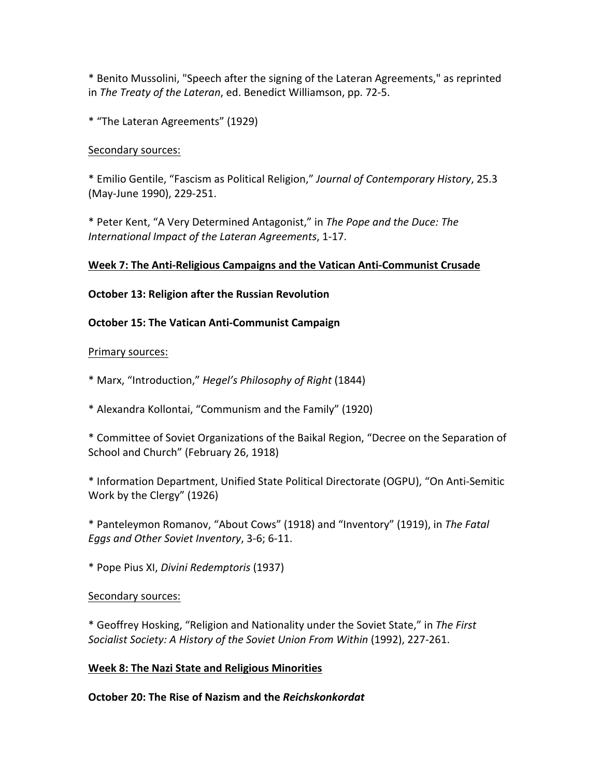\* Benito Mussolini, "Speech after the signing of the Lateran Agreements," as reprinted in The Treaty of the Lateran, ed. Benedict Williamson, pp. 72-5.

\* "The Lateran Agreements" (1929)

# Secondary sources:

\* Emilio Gentile, "Fascism as Political Religion," *Journal of Contemporary History*, 25.3 (May-June 1990), 229-251.

\* Peter Kent, "A Very Determined Antagonist," in *The Pope and the Duce: The International Impact of the Lateran Agreements*, 1-17.

# Week 7: The Anti-Religious Campaigns and the Vatican Anti-Communist Crusade

# **October 13: Religion after the Russian Revolution**

# **October 15: The Vatican Anti-Communist Campaign**

# Primary sources:

\* Marx, "Introduction," *Hegel's Philosophy of Right* (1844) 

\* Alexandra Kollontai, "Communism and the Family" (1920) 

\* Committee of Soviet Organizations of the Baikal Region, "Decree on the Separation of School and Church" (February 26, 1918)

\* Information Department, Unified State Political Directorate (OGPU), "On Anti-Semitic Work by the Clergy" (1926)

\* Panteleymon Romanov, "About Cows" (1918) and "Inventory" (1919), in *The Fatal*  Eggs and Other Soviet Inventory, 3-6; 6-11.

\* Pope Pius XI, *Divini Redemptoris* (1937) 

# Secondary sources:

\* Geoffrey Hosking, "Religion and Nationality under the Soviet State," in *The First* Socialist Society: A History of the Soviet Union From Within (1992), 227-261.

# **Week 8: The Nazi State and Religious Minorities**

**October 20: The Rise of Nazism and the** *Reichskonkordat*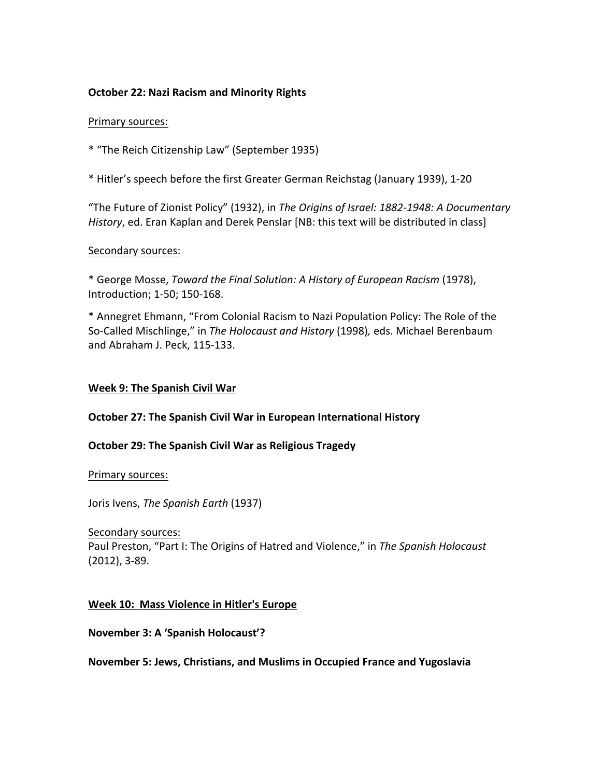### **October 22: Nazi Racism and Minority Rights**

#### Primary sources:

\* "The Reich Citizenship Law" (September 1935)

\* Hitler's speech before the first Greater German Reichstag (January 1939), 1-20

"The Future of Zionist Policy" (1932), in The Origins of Israel: 1882-1948: A Documentary *History*, ed. Eran Kaplan and Derek Penslar [NB: this text will be distributed in class]

### Secondary sources:

\* George Mosse, *Toward the Final Solution: A History of European Racism* (1978), Introduction; 1-50; 150-168.

\* Annegret Ehmann, "From Colonial Racism to Nazi Population Policy: The Role of the So-Called Mischlinge," in *The Holocaust and History* (1998), eds. Michael Berenbaum and Abraham J. Peck, 115-133.

### **Week 9: The Spanish Civil War**

### **October 27: The Spanish Civil War in European International History**

### **October 29: The Spanish Civil War as Religious Tragedy**

Primary sources:

Joris Ivens, *The Spanish Earth* (1937)

#### Secondary sources:

Paul Preston, "Part I: The Origins of Hatred and Violence," in The Spanish Holocaust  $(2012)$ ,  $3-89$ .

### **Week 10: Mass Violence in Hitler's Europe**

### **November 3: A 'Spanish Holocaust'?**

**November 5: Jews, Christians, and Muslims in Occupied France and Yugoslavia**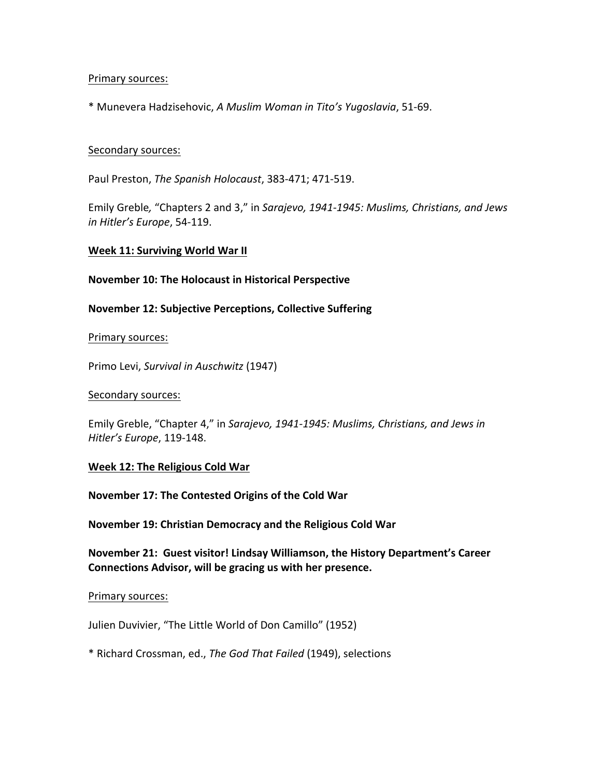#### Primary sources:

\* Munevera Hadzisehovic, *A Muslim Woman in Tito's Yugoslavia*, 51-69.

#### Secondary sources:

Paul Preston, *The Spanish Holocaust*, 383-471; 471-519.

Emily Greble, "Chapters 2 and 3," in Sarajevo, 1941-1945: Muslims, Christians, and Jews *in Hitler's Europe*, 54-119.

#### **Week 11: Surviving World War II**

#### **November 10: The Holocaust in Historical Perspective**

**November 12: Subjective Perceptions, Collective Suffering**

#### Primary sources:

Primo Levi, *Survival in Auschwitz* (1947)

#### Secondary sources:

Emily Greble, "Chapter 4," in Sarajevo, 1941-1945: Muslims, Christians, and Jews in *Hitler's Europe*, 119-148.

### **Week 12: The Religious Cold War**

**November 17: The Contested Origins of the Cold War** 

**November 19: Christian Democracy and the Religious Cold War** 

**November 21: Guest visitor! Lindsay Williamson, the History Department's Career** Connections Advisor, will be gracing us with her presence.

#### Primary sources:

Julien Duvivier, "The Little World of Don Camillo" (1952)

\* Richard Crossman, ed., *The God That Failed* (1949), selections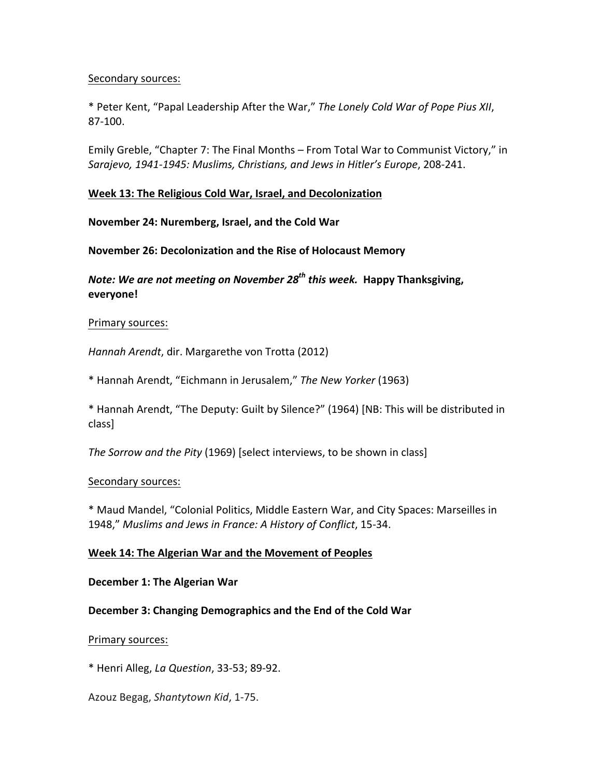### Secondary sources:

\* Peter Kent, "Papal Leadership After the War," The Lonely Cold War of Pope Pius XII, 87-100.

Emily Greble, "Chapter 7: The Final Months – From Total War to Communist Victory," in *Sarajevo, 1941-1945: Muslims, Christians, and Jews in Hitler's Europe*, 208-241.

#### **Week 13: The Religious Cold War, Israel, and Decolonization**

**November 24: Nuremberg, Israel, and the Cold War** 

#### **November 26: Decolonization and the Rise of Holocaust Memory**

*Note:* We are not meeting on November 28<sup>th</sup> this week. Happy Thanksgiving, **everyone!**

#### Primary sources:

Hannah Arendt, dir. Margarethe von Trotta (2012)

\* Hannah Arendt, "Eichmann in Jerusalem," *The New Yorker* (1963)

\* Hannah Arendt, "The Deputy: Guilt by Silence?" (1964) [NB: This will be distributed in class]

*The Sorrow and the Pity* (1969) [select interviews, to be shown in class]

#### Secondary sources:

\* Maud Mandel, "Colonial Politics, Middle Eastern War, and City Spaces: Marseilles in 1948," Muslims and Jews in France: A History of Conflict, 15-34.

#### **Week 14: The Algerian War and the Movement of Peoples**

#### **December 1: The Algerian War**

### December 3: Changing Demographics and the End of the Cold War

#### Primary sources:

\* Henri Alleg, *La Question*, 33-53; 89-92.

Azouz Begag, *Shantytown Kid*, 1-75.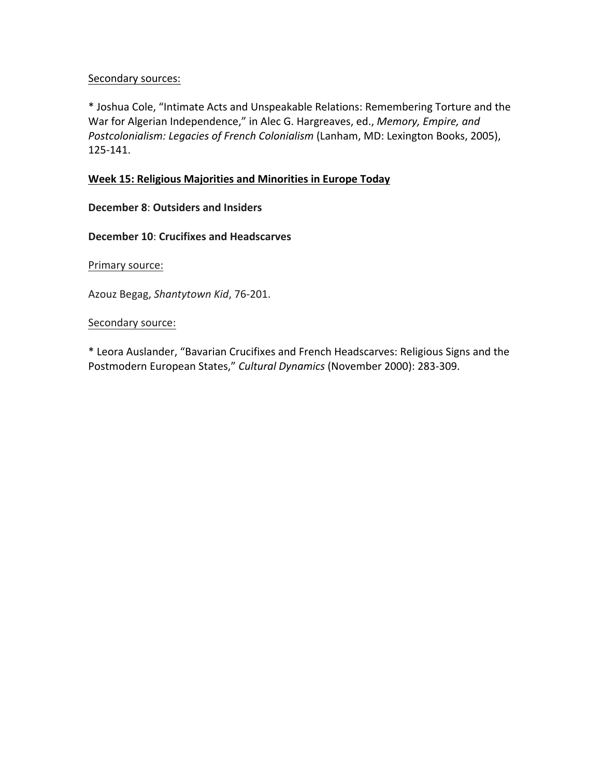### Secondary sources:

\* Joshua Cole, "Intimate Acts and Unspeakable Relations: Remembering Torture and the War for Algerian Independence," in Alec G. Hargreaves, ed., *Memory, Empire, and* Postcolonialism: Legacies of French Colonialism (Lanham, MD: Lexington Books, 2005), 125-141.

### **Week 15: Religious Majorities and Minorities in Europe Today**

### **December 8: Outsiders and Insiders**

### **December 10: Crucifixes and Headscarves**

Primary source:

Azouz Begag, *Shantytown Kid*, 76-201.

### Secondary source:

\* Leora Auslander, "Bavarian Crucifixes and French Headscarves: Religious Signs and the Postmodern European States," Cultural Dynamics (November 2000): 283-309.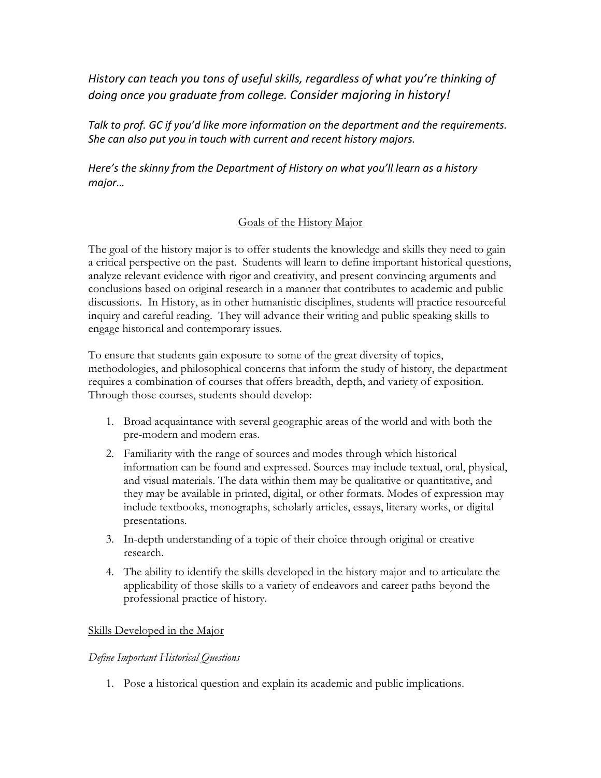History can teach you tons of useful skills, regardless of what you're thinking of *doing once you graduate from college. Consider majoring in history!*

*Talk* to prof. GC if you'd like more information on the department and the requirements. *She can also put you in touch with current and recent history majors.* 

*Here's* the skinny from the *Department* of *History* on what you'll learn as a history *major…*

# Goals of the History Major

The goal of the history major is to offer students the knowledge and skills they need to gain a critical perspective on the past. Students will learn to define important historical questions, analyze relevant evidence with rigor and creativity, and present convincing arguments and conclusions based on original research in a manner that contributes to academic and public discussions. In History, as in other humanistic disciplines, students will practice resourceful inquiry and careful reading. They will advance their writing and public speaking skills to engage historical and contemporary issues.

To ensure that students gain exposure to some of the great diversity of topics, methodologies, and philosophical concerns that inform the study of history, the department requires a combination of courses that offers breadth, depth, and variety of exposition. Through those courses, students should develop:

- 1. Broad acquaintance with several geographic areas of the world and with both the pre-modern and modern eras.
- 2. Familiarity with the range of sources and modes through which historical information can be found and expressed. Sources may include textual, oral, physical, and visual materials. The data within them may be qualitative or quantitative, and they may be available in printed, digital, or other formats. Modes of expression may include textbooks, monographs, scholarly articles, essays, literary works, or digital presentations.
- 3. In-depth understanding of a topic of their choice through original or creative research.
- 4. The ability to identify the skills developed in the history major and to articulate the applicability of those skills to a variety of endeavors and career paths beyond the professional practice of history.

# Skills Developed in the Major

# *Define Important Historical Questions*

1. Pose a historical question and explain its academic and public implications.